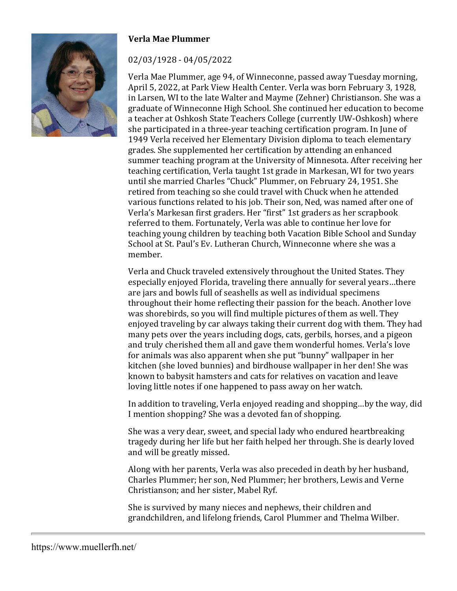

## **Verla Mae Plummer**

## 02/03/1928 - 04/05/2022

Verla Mae Plummer, age 94, of Winneconne, passed away Tuesday morning, April 5, 2022, at Park View Health Center. Verla was born February 3, 1928, in Larsen, WI to the late Walter and Mayme (Zehner) Christianson. She was a graduate of Winneconne High School. She continued her education to become a teacher at Oshkosh State Teachers College (currently UW-Oshkosh) where she participated in a three-year teaching certification program. In June of 1949 Verla received her Elementary Division diploma to teach elementary grades. She supplemented her certification by attending an enhanced summer teaching program at the University of Minnesota. After receiving her teaching certification, Verla taught 1st grade in Markesan, WI for two years until she married Charles "Chuck" Plummer, on February 24, 1951. She retired from teaching so she could travel with Chuck when he attended various functions related to his job. Their son, Ned, was named after one of Verla's Markesan first graders. Her "first" 1st graders as her scrapbook referred to them. Fortunately, Verla was able to continue her love for teaching young children by teaching both Vacation Bible School and Sunday School at St. Paul's Ev. Lutheran Church, Winneconne where she was a member.

Verla and Chuck traveled extensively throughout the United States. They especially enjoyed Florida, traveling there annually for several years…there are jars and bowls full of seashells as well as individual specimens throughout their home reflecting their passion for the beach. Another love was shorebirds, so you will find multiple pictures of them as well. They enjoyed traveling by car always taking their current dog with them. They had many pets over the years including dogs, cats, gerbils, horses, and a pigeon and truly cherished them all and gave them wonderful homes. Verla's love for animals was also apparent when she put "bunny" wallpaper in her kitchen (she loved bunnies) and birdhouse wallpaper in her den! She was known to babysit hamsters and cats for relatives on vacation and leave loving little notes if one happened to pass away on her watch.

In addition to traveling, Verla enjoyed reading and shopping…by the way, did I mention shopping? She was a devoted fan of shopping.

She was a very dear, sweet, and special lady who endured heartbreaking tragedy during her life but her faith helped her through. She is dearly loved and will be greatly missed.

Along with her parents, Verla was also preceded in death by her husband, Charles Plummer; her son, Ned Plummer; her brothers, Lewis and Verne Christianson; and her sister, Mabel Ryf.

She is survived by many nieces and nephews, their children and grandchildren, and lifelong friends, Carol Plummer and Thelma Wilber.